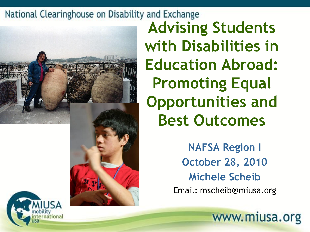

**Advising Students with Disabilities in Education Abroad: Promoting Equal Opportunities and Best Outcomes**

> **NAFSA Region I October 28, 2010 Michele Scheib** Email: mscheib@miusa.org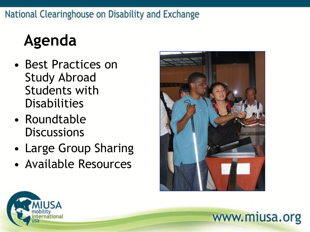## **Agenda**

- Best Practices on Study Abroad Students with **Disabilities**
- Roundtable **Discussions**
- Large Group Sharing
- Available Resources



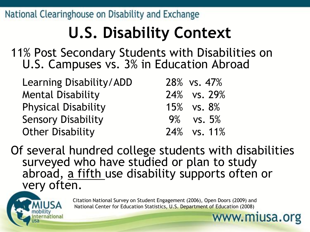# **U.S. Disability Context**

11% Post Secondary Students with Disabilities on U.S. Campuses vs. 3% in Education Abroad

| Learning Disability/ADD    | 28% vs. 47%  |
|----------------------------|--------------|
| <b>Mental Disability</b>   | 24% vs. 29%  |
| <b>Physical Disability</b> | 15% vs. 8%   |
| <b>Sensory Disability</b>  | $9\%$ vs. 5% |
| <b>Other Disability</b>    | 24% vs. 11%  |

Of several hundred college students with disabilities surveyed who have studied or plan to study abroad, a fifth use disability supports often or very often.



Citation National Survey on Student Engagement (2006), Open Doors (2009) and National Center for Education Statistics, U.S. Department of Education (2008)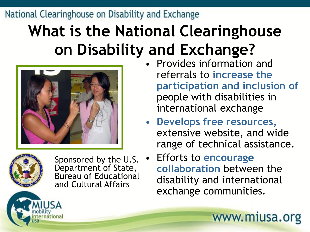## **What is the National Clearinghouse on Disability and Exchange?**





Sponsored by the U.S. Department of State, Bureau of Educational and Cultural Affairs

- Provides information and referrals to **increase the participation and inclusion of** people with disabilities in international exchange
- **Develops free resources,**  extensive website, and wide range of technical assistance.
	- Efforts to **encourage collaboration** between the disability and international exchange communities.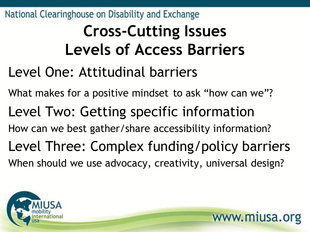## **Cross-Cutting Issues Levels of Access Barriers**

- Level One: Attitudinal barriers
- What makes for a positive mindset to ask "how can we"? Level Two: Getting specific information How can we best gather/share accessibility information? Level Three: Complex funding/policy barriers When should we use advocacy, creativity, universal design?

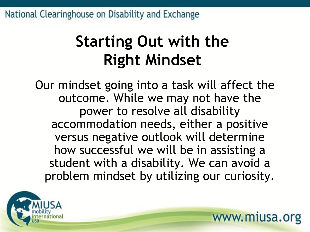## **Starting Out with the Right Mindset**

Our mindset going into a task will affect the outcome. While we may not have the power to resolve all disability accommodation needs, either a positive versus negative outlook will determine how successful we will be in assisting a student with a disability. We can avoid a problem mindset by utilizing our curiosity.

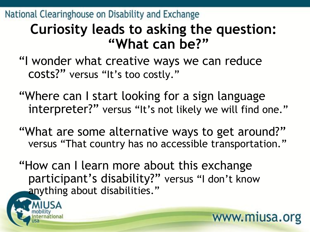### **Curiosity leads to asking the question: "What can be?"**

"I wonder what creative ways we can reduce costs?" versus "It's too costly."

- "Where can I start looking for a sign language interpreter?" versus "It's not likely we will find one."
- "What are some alternative ways to get around?" versus "That country has no accessible transportation."

www.miusa.org

"How can I learn more about this exchange participant's disability?" versus "I don't know anything about disabilities."

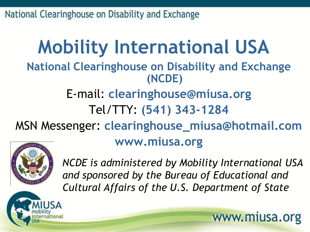### **Mobility International USA National Clearinghouse on Disability and Exchange (NCDE)** E-mail: **clearinghouse@miusa.org** Tel/TTY: **(541) 343-1284** MSN Messenger: **clearinghouse\_miusa@hotmail.com www.miusa.org**



*NCDE is administered by Mobility International USA and sponsored by the Bureau of Educational and Cultural Affairs of the U.S. Department of State*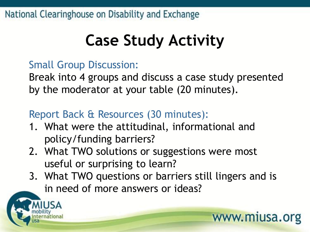## **Case Study Activity**

### Small Group Discussion:

Break into 4 groups and discuss a case study presented by the moderator at your table (20 minutes).

### Report Back & Resources (30 minutes):

- 1. What were the attitudinal, informational and policy/funding barriers?
- 2. What TWO solutions or suggestions were most useful or surprising to learn?
- 3. What TWO questions or barriers still lingers and is in need of more answers or ideas?

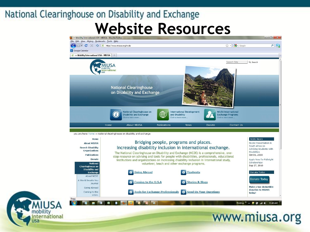Coming to the

Done

 $U.S.A$ 



**18 Tools for Exchange Professionals 18 Send Us Your Questions** 



### www.miusa.org

Desktop >> ▲ <sup>眼</sup> ■ all (0) 11:48 AM

today!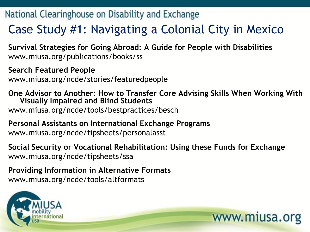### Case Study #1: Navigating a Colonial City in Mexico

**Survival Strategies for Going Abroad: A Guide for People with Disabilities** www.miusa.org/publications/books/ss

**Search Featured People**  www.miusa.org/ncde/stories/featuredpeople

#### **One Advisor to Another: How to Transfer Core Advising Skills When Working With Visually Impaired and Blind Students**  www.miusa.org/ncde/tools/bestpractices/besch

### **Personal Assistants on International Exchange Programs**  www.miusa.org/ncde/tipsheets/personalasst

#### **Social Security or Vocational Rehabilitation: Using these Funds for Exchange**  www.miusa.org/ncde/tipsheets/ssa

www.miusa.org

#### **Providing Information in Alternative Formats**  www.miusa.org/ncde/tools/altformats

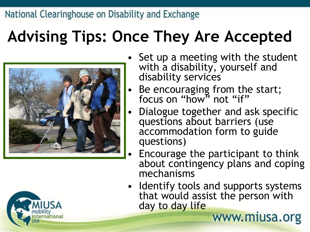## **Advising Tips: Once They Are Accepted**





- Set up a meeting with the student with a disability, yourself and disability services
- Be encouraging from the start; focus on "how" not "if"
- Dialogue together and ask specific questions about barriers (use accommodation form to guide questions)
- Encourage the participant to think about contingency plans and coping mechanisms
- Identify tools and supports systems that would assist the person with day to day lifewww.miusa.org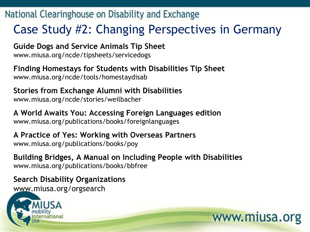### Case Study #2: Changing Perspectives in Germany

**Guide Dogs and Service Animals Tip Sheet** www.miusa.org/ncde/tipsheets/servicedogs

**Finding Homestays for Students with Disabilities Tip Sheet** www.miusa.org/ncde/tools/homestaydisab

**Stories from Exchange Alumni with Disabilities** www.miusa.org/ncde/stories/weilbacher

**A World Awaits You: Accessing Foreign Languages edition** www.miusa.org/publications/books/foreignlanguages

**A Practice of Yes: Working with Overseas Partners** www.miusa.org/publications/books/poy

**Building Bridges, A Manual on Including People with Disabilities** www.miusa.org/publications/books/bbfree

www.miusa.org

**Search Disability Organizations**  www.miusa.org/orgsearch

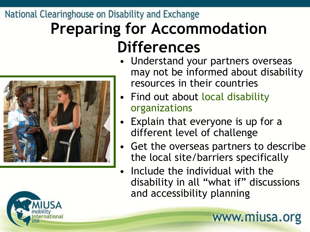### **Preparing for Accommodation Differences**

### • Understand your partners overseas may not be informed about disability resources in their countries

- Find out about local disability organizations
- Explain that everyone is up for a different level of challenge
- Get the overseas partners to describe the local site/barriers specifically
- Include the individual with the disability in all "what if" discussions and accessibility planning

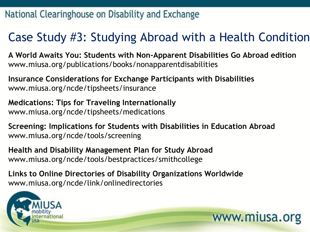### Case Study #3: Studying Abroad with a Health Condition

**A World Awaits You: Students with Non-Apparent Disabilities Go Abroad edition** www.miusa.org/publications/books/nonapparentdisabilities

**Insurance Considerations for Exchange Participants with Disabilities**  www.miusa.org/ncde/tipsheets/insurance

**Medications: Tips for Traveling Internationally**  www.miusa.org/ncde/tipsheets/medications

**Screening: Implications for Students with Disabilities in Education Abroad**  www.miusa.org/ncde/tools/screening

www.miusa.org

**Health and Disability Management Plan for Study Abroad**  www.miusa.org/ncde/tools/bestpractices/smithcollege

**Links to Online Directories of Disability Organizations Worldwide**  www.miusa.org/ncde/link/onlinedirectories

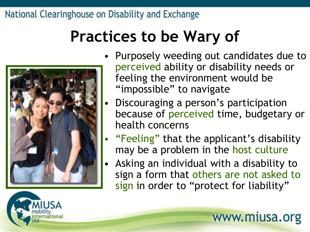## **Practices to be Wary of**



- Discouraging a person's participation because of perceived time, budgetary or health concerns
- "Feeling" that the applicant's disability may be a problem in the host culture
- Asking an individual with a disability to sign a form that others are not asked to sign in order to "protect for liability"





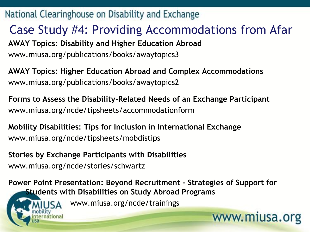Case Study #4: Providing Accommodations from Afar **AWAY Topics: Disability and Higher Education Abroad**  www.miusa.org/publications/books/awaytopics3

**AWAY Topics: Higher Education Abroad and Complex Accommodations** www.miusa.org/publications/books/awaytopics2

**Forms to Assess the Disability-Related Needs of an Exchange Participant** www.miusa.org/ncde/tipsheets/accommodationform

**Mobility Disabilities: Tips for Inclusion in International Exchange** www.miusa.org/ncde/tipsheets/mobdistips

**Stories by Exchange Participants with Disabilities** www.miusa.org/ncde/stories/schwartz

itional

**Power Point Presentation: Beyond Recruitment - Strategies of Support for Students with Disabilities on Study Abroad Programs** 

www.miusa.org

www.miusa.org/ncde/trainings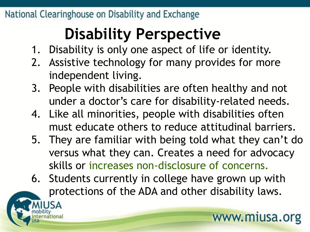## **Disability Perspective**

- 1. Disability is only one aspect of life or identity.
- 2. Assistive technology for many provides for more independent living.
- 3. People with disabilities are often healthy and not under a doctor's care for disability-related needs.
- 4. Like all minorities, people with disabilities often must educate others to reduce attitudinal barriers.
- 5. They are familiar with being told what they can't do versus what they can. Creates a need for advocacy skills or increases non-disclosure of concerns.
- 6. Students currently in college have grown up with protections of the ADA and other disability laws.

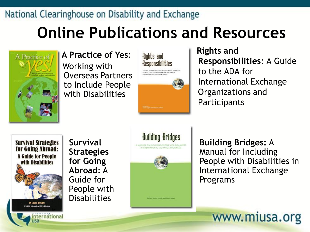## **Online Publications and Resources**



**A Practice of Yes**: Working with Overseas Partners to Include People with Disabilities



**Rights and Responsibilities**: A Guide to the ADA for International Exchange Organizations and **Participants** 

**Survival Strategies** for Going Abroad: **A Guide for People with Disabilities By Laura Hershe** 

**nternational** 

**Survival Strategies for Going Abroad**: A Guide for People with **Disabilities** 



**Building Bridges:** A Manual for Including People with Disabilities in International Exchange Programs